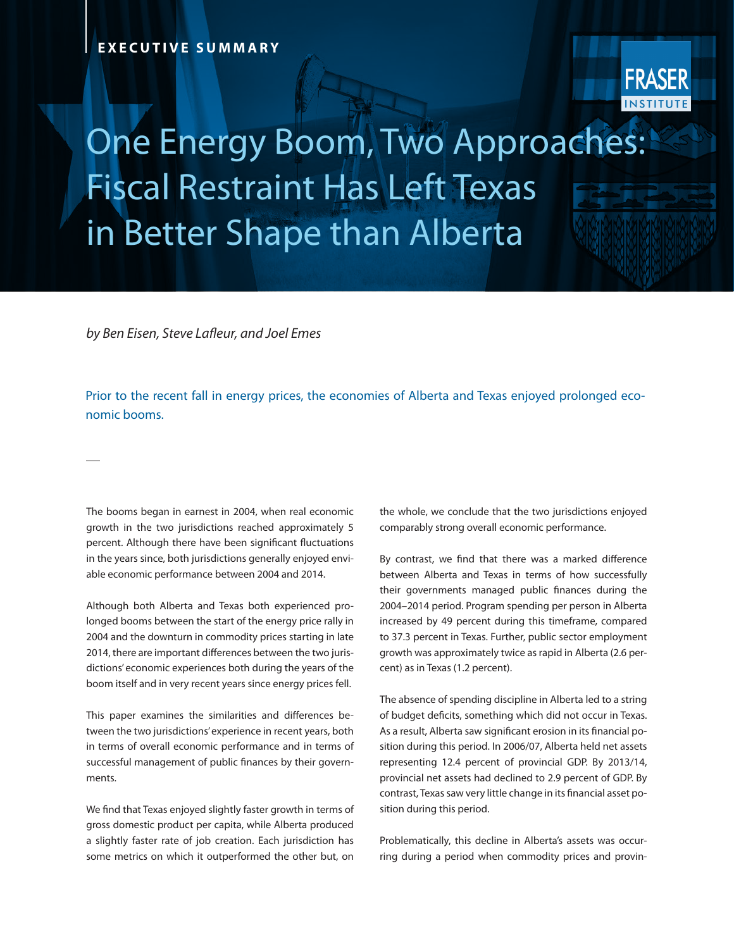

## One Energy Boom, Two Approaches: Fiscal Restraint Has Left Texas in Better Shape than Alberta

*by Ben Eisen, Steve Lafleur, and Joel Emes* 

Prior to the recent fall in energy prices, the economies of Alberta and Texas enjoyed prolonged economic booms.

The booms began in earnest in 2004, when real economic growth in the two jurisdictions reached approximately 5 percent. Although there have been significant fluctuations in the years since, both jurisdictions generally enjoyed enviable economic performance between 2004 and 2014.

Although both Alberta and Texas both experienced prolonged booms between the start of the energy price rally in 2004 and the downturn in commodity prices starting in late 2014, there are important differences between the two jurisdictions' economic experiences both during the years of the boom itself and in very recent years since energy prices fell.

This paper examines the similarities and differences between the two jurisdictions' experience in recent years, both in terms of overall economic performance and in terms of successful management of public finances by their governments.

We find that Texas enjoyed slightly faster growth in terms of gross domestic product per capita, while Alberta produced a slightly faster rate of job creation. Each jurisdiction has some metrics on which it outperformed the other but, on the whole, we conclude that the two jurisdictions enjoyed comparably strong overall economic performance.

By contrast, we find that there was a marked difference between Alberta and Texas in terms of how successfully their governments managed public finances during the 2004–2014 period. Program spending per person in Alberta increased by 49 percent during this timeframe, compared to 37.3 percent in Texas. Further, public sector employment growth was approximately twice as rapid in Alberta (2.6 percent) as in Texas (1.2 percent).

The absence of spending discipline in Alberta led to a string of budget deficits, something which did not occur in Texas. As a result, Alberta saw significant erosion in its financial position during this period. In 2006/07, Alberta held net assets representing 12.4 percent of provincial GDP. By 2013/14, provincial net assets had declined to 2.9 percent of GDP. By contrast, Texas saw very little change in its financial asset position during this period.

Problematically, this decline in Alberta's assets was occurring during a period when commodity prices and provin